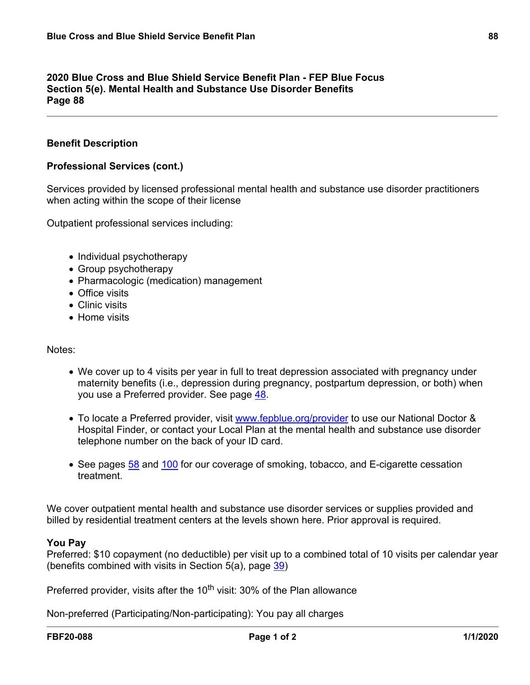## **2020 Blue Cross and Blue Shield Service Benefit Plan - FEP Blue Focus Section 5(e). Mental Health and Substance Use Disorder Benefits Page 88**

## **Benefit Description**

### **Professional Services (cont.)**

Services provided by licensed professional mental health and substance use disorder practitioners when acting within the scope of their license

Outpatient professional services including:

- Individual psychotherapy
- Group psychotherapy
- Pharmacologic (medication) management
- Office visits
- Clinic visits
- Home visits

#### Notes:

- We cover up to 4 visits per year in full to treat depression associated with pregnancy under maternity benefits (i.e., depression during pregnancy, postpartum depression, or both) when you use a Preferred provider. See page [48](a8376318-ebd6-421f-be63-acf8c88376a1_4f942a2e-dc0b-419d-a686-3bf91f5cc9e5.html?v=32493).
- To locate a Preferred provider, visit [www.fepblue.org/provider](http://www.fepblue.org/provider) to use our National Doctor & Hospital Finder, or contact your Local Plan at the mental health and substance use disorder telephone number on the back of your ID card.
- See pages [58](a8376318-ebd6-421f-be63-acf8c88376a1_8dd3dbfb-81dc-4629-8130-bb144005944c.html?v=32493) and [100](a8376318-ebd6-421f-be63-acf8c88376a1_88ebef35-bda0-430b-98b4-d0f71a764efa.html?v=32493) for our coverage of smoking, tobacco, and E-cigarette cessation treatment.

We cover outpatient mental health and substance use disorder services or supplies provided and billed by residential treatment centers at the levels shown here. Prior approval is required.

#### **You Pay**

Preferred: \$10 copayment (no deductible) per visit up to a combined total of 10 visits per calendar year (benefits combined with visits in Section 5(a), page [39\)](a8376318-ebd6-421f-be63-acf8c88376a1_cd3f70da-092d-4429-baca-613fa32b4204.html?v=32493)

Preferred provider, visits after the 10<sup>th</sup> visit: 30% of the Plan allowance

Non-preferred (Participating/Non-participating): You pay all charges